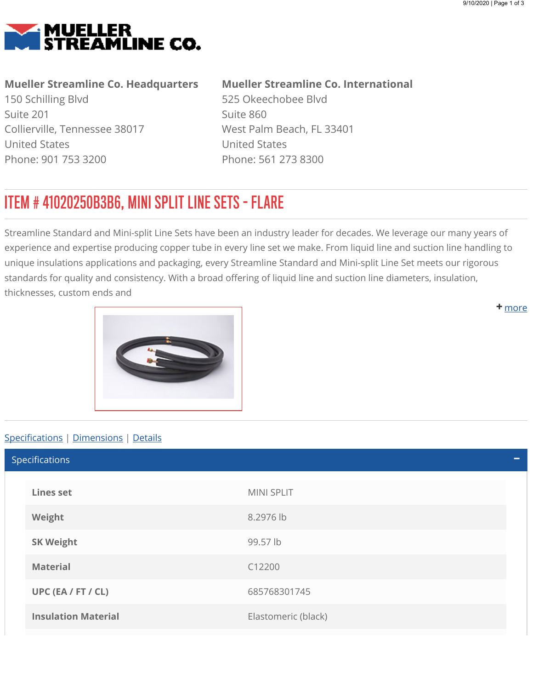<span id="page-0-0"></span>

## Mueller Streamline Co. Headquarters

150 Schilling Blvd Suite 201 Collierville, Tennessee 38017 United States Phone: 901 753 3200

## Mueller Streamline Co. International

525 Okeechobee Blvd Suite 860 West Palm Beach, FL 33401 United States Phone: 561 273 8300

## ITEM # 41020250B3B6, MINI SPLIT LINE SETS - FLARE

Streamline Standard and Mini-split Line Sets have been an industry leader for decades. We leverage our many years of experience and expertise producing copper tube in every line set we make. From liquid line and suction line handling to unique insulations applications and packaging, every Streamline Standard and Mini-split Line Set meets our rigorous standards for quality and consistency. With a broad offering of liquid line and suction line diameters, insulation, thicknesses, custom ends and

<span id="page-0-1"></span>

## Specifications | [Dimensions](#page-1-0) | [Details](#page-1-1)

Lines set MINI SPLIT Weight 8.2976 lb SK Weight **99.57** lb Material C12200 UPC (EA / FT / CL) 685768301745 **Insulation Material Elastomeric (black)** Elastomeric (black) Specifications

**+** [m](#page-0-0)ore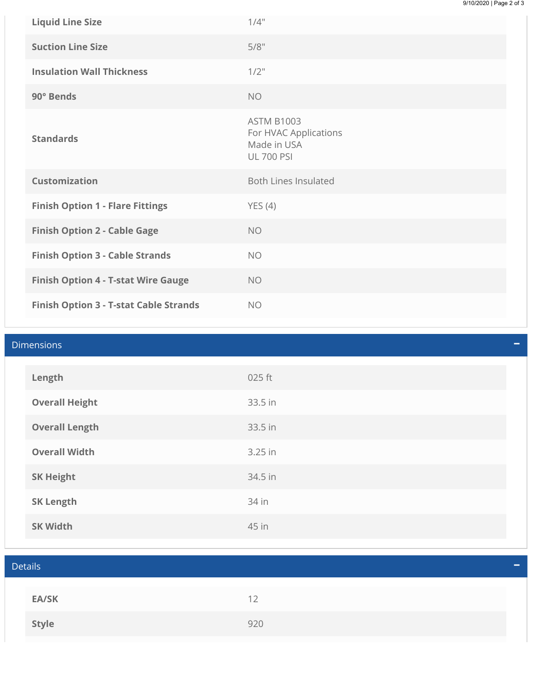| <b>Liquid Line Size</b>                       | 1/4"                                                                           |
|-----------------------------------------------|--------------------------------------------------------------------------------|
| <b>Suction Line Size</b>                      | 5/8"                                                                           |
| <b>Insulation Wall Thickness</b>              | $1/2$ "                                                                        |
| 90° Bends                                     | <b>NO</b>                                                                      |
| <b>Standards</b>                              | <b>ASTM B1003</b><br>For HVAC Applications<br>Made in USA<br><b>UL 700 PSI</b> |
| <b>Customization</b>                          | <b>Both Lines Insulated</b>                                                    |
| <b>Finish Option 1 - Flare Fittings</b>       | YES(4)                                                                         |
| <b>Finish Option 2 - Cable Gage</b>           | <b>NO</b>                                                                      |
| <b>Finish Option 3 - Cable Strands</b>        | <b>NO</b>                                                                      |
| <b>Finish Option 4 - T-stat Wire Gauge</b>    | <b>NO</b>                                                                      |
| <b>Finish Option 3 - T-stat Cable Strands</b> | <b>NO</b>                                                                      |

<span id="page-1-1"></span><span id="page-1-0"></span>

| <b>Dimensions</b> |                       |         |  |
|-------------------|-----------------------|---------|--|
|                   | Length                | 025 ft  |  |
|                   | <b>Overall Height</b> | 33.5 in |  |
|                   | <b>Overall Length</b> | 33.5 in |  |
|                   | <b>Overall Width</b>  | 3.25 in |  |
|                   | <b>SK Height</b>      | 34.5 in |  |
|                   | <b>SK Length</b>      | 34 in   |  |
|                   | <b>SK Width</b>       | 45 in   |  |

| <b>Details</b> |     | 一 |
|----------------|-----|---|
|                |     |   |
| <b>EA/SK</b>   | 12  |   |
| Style          | 920 |   |
|                |     |   |